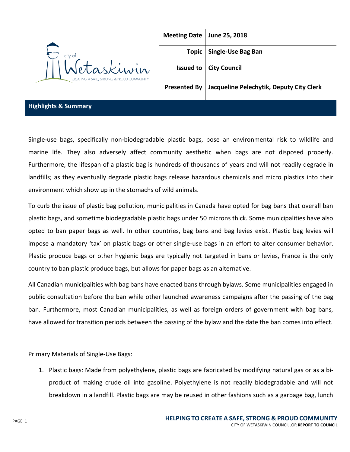

| Meeting Date June 25, 2018                              |
|---------------------------------------------------------|
| Topic   Single-Use Bag Ban                              |
| <b>Issued to   City Council</b>                         |
| Presented By   Jacqueline Pelechytik, Deputy City Clerk |

### **Highlights & Summary**

Single-use bags, specifically non-biodegradable plastic bags, pose an environmental risk to wildlife and marine life. They also adversely affect community aesthetic when bags are not disposed properly. Furthermore, the lifespan of a plastic bag is hundreds of thousands of years and will not readily degrade in landfills; as they eventually degrade plastic bags release hazardous chemicals and micro plastics into their environment which show up in the stomachs of wild animals.

To curb the issue of plastic bag pollution, municipalities in Canada have opted for bag bans that overall ban plastic bags, and sometime biodegradable plastic bags under 50 microns thick. Some municipalities have also opted to ban paper bags as well. In other countries, bag bans and bag levies exist. Plastic bag levies will impose a mandatory 'tax' on plastic bags or other single-use bags in an effort to alter consumer behavior. Plastic produce bags or other hygienic bags are typically not targeted in bans or levies, France is the only country to ban plastic produce bags, but allows for paper bags as an alternative.

All Canadian municipalities with bag bans have enacted bans through bylaws. Some municipalities engaged in public consultation before the ban while other launched awareness campaigns after the passing of the bag ban. Furthermore, most Canadian municipalities, as well as foreign orders of government with bag bans, have allowed for transition periods between the passing of the bylaw and the date the ban comes into effect.

Primary Materials of Single-Use Bags:

1. Plastic bags: Made from polyethylene, plastic bags are fabricated by modifying natural gas or as a biproduct of making crude oil into gasoline. Polyethylene is not readily biodegradable and will not breakdown in a landfill. Plastic bags are may be reused in other fashions such as a garbage bag, lunch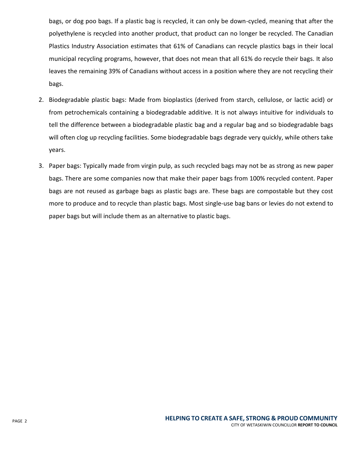bags, or dog poo bags. If a plastic bag is recycled, it can only be down-cycled, meaning that after the polyethylene is recycled into another product, that product can no longer be recycled. The Canadian Plastics Industry Association estimates that 61% of Canadians can recycle plastics bags in their local municipal recycling programs, however, that does not mean that all 61% do recycle their bags. It also leaves the remaining 39% of Canadians without access in a position where they are not recycling their bags.

- 2. Biodegradable plastic bags: Made from bioplastics (derived from starch, cellulose, or lactic acid) or from petrochemicals containing a biodegradable additive. It is not always intuitive for individuals to tell the difference between a biodegradable plastic bag and a regular bag and so biodegradable bags will often clog up recycling facilities. Some biodegradable bags degrade very quickly, while others take years.
- 3. Paper bags: Typically made from virgin pulp, as such recycled bags may not be as strong as new paper bags. There are some companies now that make their paper bags from 100% recycled content. Paper bags are not reused as garbage bags as plastic bags are. These bags are compostable but they cost more to produce and to recycle than plastic bags. Most single-use bag bans or levies do not extend to paper bags but will include them as an alternative to plastic bags.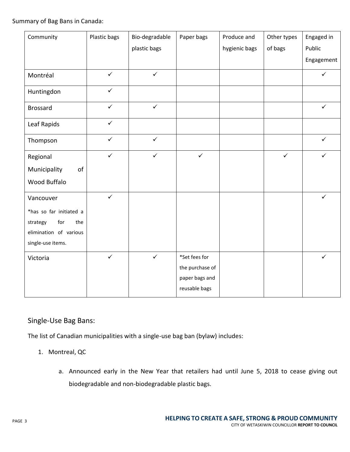Summary of Bag Bans in Canada:

| Community               | Plastic bags | Bio-degradable | Paper bags      | Produce and   | Other types  | Engaged in   |
|-------------------------|--------------|----------------|-----------------|---------------|--------------|--------------|
|                         |              | plastic bags   |                 | hygienic bags | of bags      | Public       |
|                         |              |                |                 |               |              | Engagement   |
| Montréal                | $\checkmark$ | $\checkmark$   |                 |               |              | $\checkmark$ |
| Huntingdon              | $\checkmark$ |                |                 |               |              |              |
| <b>Brossard</b>         | $\checkmark$ | $\checkmark$   |                 |               |              | $\checkmark$ |
| Leaf Rapids             | $\checkmark$ |                |                 |               |              |              |
| Thompson                | $\checkmark$ | $\checkmark$   |                 |               |              | $\checkmark$ |
| Regional                | $\checkmark$ | $\checkmark$   | $\checkmark$    |               | $\checkmark$ | ✓            |
| Municipality<br>of      |              |                |                 |               |              |              |
| Wood Buffalo            |              |                |                 |               |              |              |
| Vancouver               | $\checkmark$ |                |                 |               |              | $\checkmark$ |
| *has so far initiated a |              |                |                 |               |              |              |
| strategy<br>for<br>the  |              |                |                 |               |              |              |
| elimination of various  |              |                |                 |               |              |              |
| single-use items.       |              |                |                 |               |              |              |
| Victoria                | $\checkmark$ | $\checkmark$   | *Set fees for   |               |              | $\checkmark$ |
|                         |              |                | the purchase of |               |              |              |
|                         |              |                | paper bags and  |               |              |              |
|                         |              |                | reusable bags   |               |              |              |

# Single-Use Bag Bans:

The list of Canadian municipalities with a single-use bag ban (bylaw) includes:

- 1. Montreal, QC
	- a. Announced early in the New Year that retailers had until June 5, 2018 to cease giving out biodegradable and non-biodegradable plastic bags.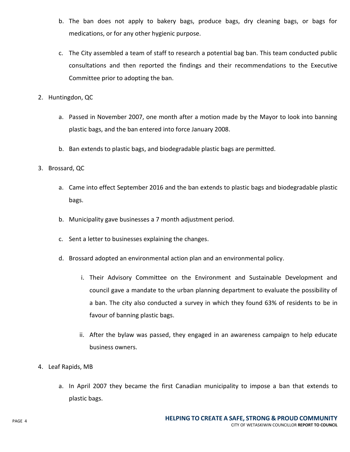- b. The ban does not apply to bakery bags, produce bags, dry cleaning bags, or bags for medications, or for any other hygienic purpose.
- c. The City assembled a team of staff to research a potential bag ban. This team conducted public consultations and then reported the findings and their recommendations to the Executive Committee prior to adopting the ban.
- 2. Huntingdon, QC
	- a. Passed in November 2007, one month after a motion made by the Mayor to look into banning plastic bags, and the ban entered into force January 2008.
	- b. Ban extends to plastic bags, and biodegradable plastic bags are permitted.
- 3. Brossard, QC
	- a. Came into effect September 2016 and the ban extends to plastic bags and biodegradable plastic bags.
	- b. Municipality gave businesses a 7 month adjustment period.
	- c. Sent a letter to businesses explaining the changes.
	- d. Brossard adopted an environmental action plan and an environmental policy.
		- i. Their Advisory Committee on the Environment and Sustainable Development and council gave a mandate to the urban planning department to evaluate the possibility of a ban. The city also conducted a survey in which they found 63% of residents to be in favour of banning plastic bags.
		- ii. After the bylaw was passed, they engaged in an awareness campaign to help educate business owners.
- 4. Leaf Rapids, MB
	- a. In April 2007 they became the first Canadian municipality to impose a ban that extends to plastic bags.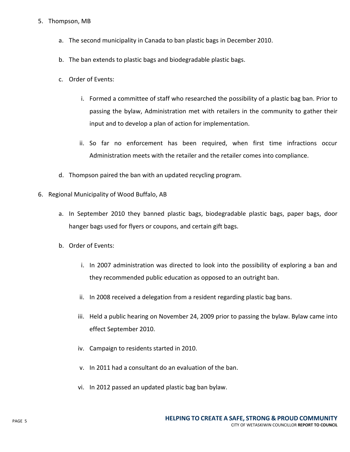### 5. Thompson, MB

- a. The second municipality in Canada to ban plastic bags in December 2010.
- b. The ban extends to plastic bags and biodegradable plastic bags.
- c. Order of Events:
	- i. Formed a committee of staff who researched the possibility of a plastic bag ban. Prior to passing the bylaw, Administration met with retailers in the community to gather their input and to develop a plan of action for implementation.
	- ii. So far no enforcement has been required, when first time infractions occur Administration meets with the retailer and the retailer comes into compliance.
- d. Thompson paired the ban with an updated recycling program.
- 6. Regional Municipality of Wood Buffalo, AB
	- a. In September 2010 they banned plastic bags, biodegradable plastic bags, paper bags, door hanger bags used for flyers or coupons, and certain gift bags.
	- b. Order of Events:
		- i. In 2007 administration was directed to look into the possibility of exploring a ban and they recommended public education as opposed to an outright ban.
		- ii. In 2008 received a delegation from a resident regarding plastic bag bans.
		- iii. Held a public hearing on November 24, 2009 prior to passing the bylaw. Bylaw came into effect September 2010.
		- iv. Campaign to residents started in 2010.
		- v. In 2011 had a consultant do an evaluation of the ban.
		- vi. In 2012 passed an updated plastic bag ban bylaw.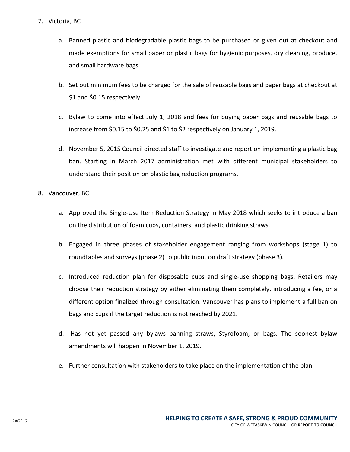- 7. Victoria, BC
	- a. Banned plastic and biodegradable plastic bags to be purchased or given out at checkout and made exemptions for small paper or plastic bags for hygienic purposes, dry cleaning, produce, and small hardware bags.
	- b. Set out minimum fees to be charged for the sale of reusable bags and paper bags at checkout at \$1 and \$0.15 respectively.
	- c. Bylaw to come into effect July 1, 2018 and fees for buying paper bags and reusable bags to increase from \$0.15 to \$0.25 and \$1 to \$2 respectively on January 1, 2019.
	- d. November 5, 2015 Council directed staff to investigate and report on implementing a plastic bag ban. Starting in March 2017 administration met with different municipal stakeholders to understand their position on plastic bag reduction programs.
- 8. Vancouver, BC
	- a. Approved the Single-Use Item Reduction Strategy in May 2018 which seeks to introduce a ban on the distribution of foam cups, containers, and plastic drinking straws.
	- b. Engaged in three phases of stakeholder engagement ranging from workshops (stage 1) to roundtables and surveys (phase 2) to public input on draft strategy (phase 3).
	- c. Introduced reduction plan for disposable cups and single-use shopping bags. Retailers may choose their reduction strategy by either eliminating them completely, introducing a fee, or a different option finalized through consultation. Vancouver has plans to implement a full ban on bags and cups if the target reduction is not reached by 2021.
	- d. Has not yet passed any bylaws banning straws, Styrofoam, or bags. The soonest bylaw amendments will happen in November 1, 2019.
	- e. Further consultation with stakeholders to take place on the implementation of the plan.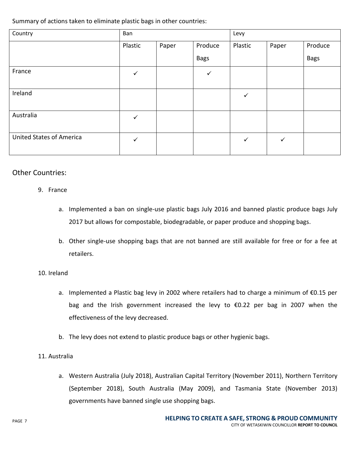Summary of actions taken to eliminate plastic bags in other countries:

| Country                         | Ban          |       |             | Levy         |       |             |
|---------------------------------|--------------|-------|-------------|--------------|-------|-------------|
|                                 | Plastic      | Paper | Produce     | Plastic      | Paper | Produce     |
|                                 |              |       | <b>Bags</b> |              |       | <b>Bags</b> |
| France                          | $\checkmark$ |       | ✓           |              |       |             |
| Ireland                         |              |       |             | $\checkmark$ |       |             |
| Australia                       | $\checkmark$ |       |             |              |       |             |
| <b>United States of America</b> | $\checkmark$ |       |             | $\checkmark$ | ✓     |             |

# Other Countries:

# 9. France

- a. Implemented a ban on single-use plastic bags July 2016 and banned plastic produce bags July 2017 but allows for compostable, biodegradable, or paper produce and shopping bags.
- b. Other single-use shopping bags that are not banned are still available for free or for a fee at retailers.

## 10. Ireland

- a. Implemented a Plastic bag levy in 2002 where retailers had to charge a minimum of €0.15 per bag and the Irish government increased the levy to €0.22 per bag in 2007 when the effectiveness of the levy decreased.
- b. The levy does not extend to plastic produce bags or other hygienic bags.
- 11. Australia
	- a. Western Australia (July 2018), Australian Capital Territory (November 2011), Northern Territory (September 2018), South Australia (May 2009), and Tasmania State (November 2013) governments have banned single use shopping bags.